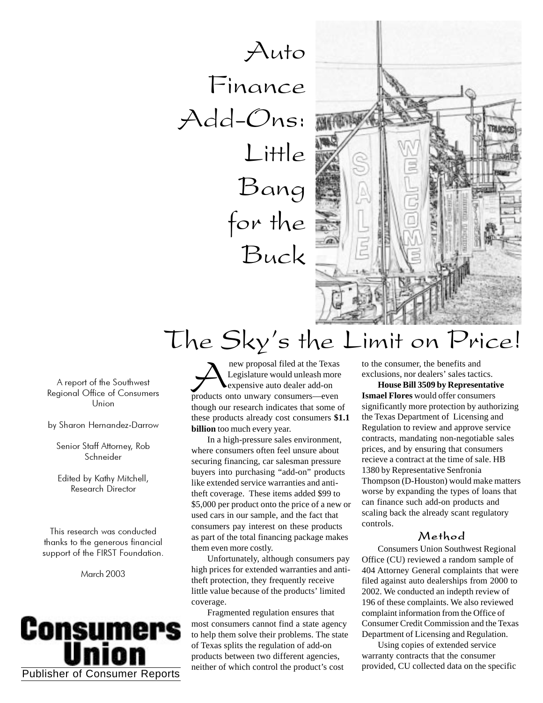Auto Finance Add-Ons: Little Bang for the Buck



# The Sky's the Limit on Price!

A report of the Southwest Regional Office of Consumers Union

by Sharon Hernandez-Darrow

Senior Staff Attorney, Rob Schneider

Edited by Kathy Mitchell, Research Director

This research was conducted thanks to the generous financial support of the FIRST Foundation.

March 2003



**A**<br>**Example 1**<br>**Example 1**<br>**Example 1**<br>**Example 1**<br>**Example 1**<br>**Example 1**<br>**Example 1**<br>**Example 1**<br>**Example 1**<br>**Example 1**<br>**Example 1**<br>**Example 1**<br>**Example 1**<br>**Example 1**<br>**Example 1**<br>**Example 1**<br>**Example 1**<br>**Example 1**<br>**E** Legislature would unleash more expensive auto dealer add-on though our research indicates that some of these products already cost consumers **\$1.1 billion** too much every year.

In a high-pressure sales environment, where consumers often feel unsure about securing financing, car salesman pressure buyers into purchasing "add-on" products like extended service warranties and antitheft coverage. These items added \$99 to \$5,000 per product onto the price of a new or used cars in our sample, and the fact that consumers pay interest on these products as part of the total financing package makes them even more costly.

Unfortunately, although consumers pay high prices for extended warranties and antitheft protection, they frequently receive little value because of the products' limited coverage.

Fragmented regulation ensures that most consumers cannot find a state agency to help them solve their problems. The state of Texas splits the regulation of add-on products between two different agencies, neither of which control the product's cost

to the consumer, the benefits and exclusions, nor dealers' sales tactics.

**House Bill 3509 by Representative Ismael Flores** would offer consumers significantly more protection by authorizing the Texas Department of Licensing and Regulation to review and approve service contracts, mandating non-negotiable sales prices, and by ensuring that consumers recieve a contract at the time of sale. HB 1380 by Representative Senfronia Thompson (D-Houston) would make matters worse by expanding the types of loans that can finance such add-on products and scaling back the already scant regulatory controls.

#### Method

Consumers Union Southwest Regional Office (CU) reviewed a random sample of 404 Attorney General complaints that were filed against auto dealerships from 2000 to 2002. We conducted an indepth review of 196 of these complaints. We also reviewed complaint information from the Office of Consumer Credit Commission and the Texas Department of Licensing and Regulation.

Using copies of extended service warranty contracts that the consumer provided, CU collected data on the specific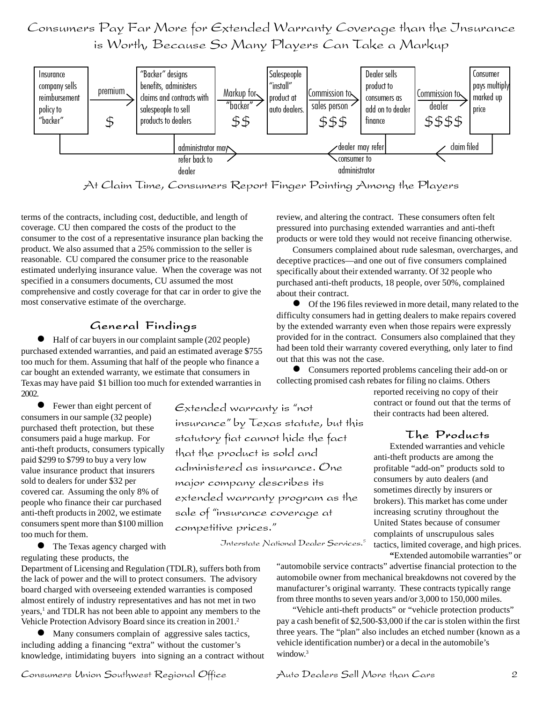Consumers Pay Far More for Extended Warranty Coverage than the Insurance is Worth, Because So Many Players Can Take a Markup



At Claim Time, Consumers Report Finger Pointing Among the Players

Extended warranty is "not

that the product is sold and

major company describes its

sale of "insurance coverage at

competitive prices."

insurance" by Texas statute, but this

statutory fiat cannot hide the fact

administered as insurance. One

extended warranty program as the

terms of the contracts, including cost, deductible, and length of coverage. CU then compared the costs of the product to the consumer to the cost of a representative insurance plan backing the product. We also assumed that a 25% commission to the seller is reasonable. CU compared the consumer price to the reasonable estimated underlying insurance value. When the coverage was not specified in a consumers documents, CU assumed the most comprehensive and costly coverage for that car in order to give the most conservative estimate of the overcharge.

#### General Findings

 Half of car buyers in our complaint sample (202 people) purchased extended warranties, and paid an estimated average \$755 too much for them. Assuming that half of the people who finance a car bought an extended warranty, we estimate that consumers in Texas may have paid \$1 billion too much for extended warranties in 2002.

**•** Fewer than eight percent of consumers in our sample (32 people) purchased theft protection, but these consumers paid a huge markup. For anti-theft products, consumers typically paid \$299 to \$799 to buy a very low value insurance product that insurers sold to dealers for under \$32 per covered car. Assuming the only 8% of people who finance their car purchased anti-theft products in 2002, we estimate consumers spent more than \$100 million too much for them.

 The Texas agency charged with regulating these products, the

Department of Licensing and Regulation (TDLR), suffers both from the lack of power and the will to protect consumers. The advisory board charged with overseeing extended warranties is composed almost entirely of industry representatives and has not met in two years,<sup>1</sup> and TDLR has not been able to appoint any members to the Vehicle Protection Advisory Board since its creation in 2001.2

 Many consumers complain of aggressive sales tactics, including adding a financing "extra" without the customer's knowledge, intimidating buyers into signing an a contract without

review, and altering the contract. These consumers often felt pressured into purchasing extended warranties and anti-theft products or were told they would not receive financing otherwise.

Consumers complained about rude salesman, overcharges, and deceptive practices—and one out of five consumers complained specifically about their extended warranty. Of 32 people who purchased anti-theft products, 18 people, over 50%, complained about their contract.

 Of the 196 files reviewed in more detail, many related to the difficulty consumers had in getting dealers to make repairs covered by the extended warranty even when those repairs were expressly provided for in the contract. Consumers also complained that they had been told their warranty covered everything, only later to find out that this was not the case.

 Consumers reported problems canceling their add-on or collecting promised cash rebates for filing no claims. Others

> reported receiving no copy of their contract or found out that the terms of their contracts had been altered.

### The Products

Extended warranties and vehicle anti-theft products are among the profitable "add-on" products sold to consumers by auto dealers (and sometimes directly by insurers or brokers). This market has come under increasing scrutiny throughout the United States because of consumer complaints of unscrupulous sales tactics, limited coverage, and high prices.

Interstate National Dealer Services.5

**"**Extended automobile warranties" or "automobile service contracts" advertise financial protection to the automobile owner from mechanical breakdowns not covered by the manufacturer's original warranty. These contracts typically range from three months to seven years and/or 3,000 to 150,000 miles.

"Vehicle anti-theft products" or "vehicle protection products" pay a cash benefit of \$2,500-\$3,000 if the car is stolen within the first three years. The "plan" also includes an etched number (known as a vehicle identification number) or a decal in the automobile's window.<sup>3</sup>

Consumers Union Southwest Regional Office Auto Dealers Sell More than Cars 2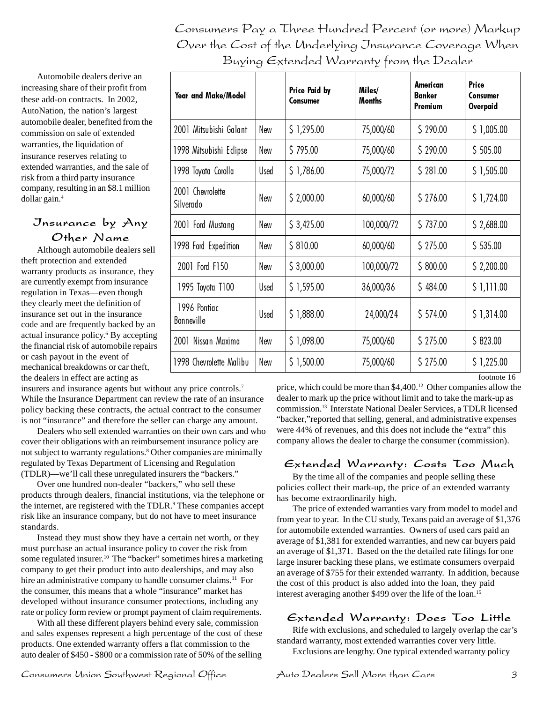Consumers Pay a Three Hundred Percent (or more) Markup Over the Cost of the Underlying Jnsurance Coverage When Buying Extended Warranty from the Dealer

Automobile dealers derive an increasing share of their profit from these add-on contracts. In 2002, AutoNation, the nation's largest automobile dealer, benefited from the commission on sale of extended warranties, the liquidation of insurance reserves relating to extended warranties, and the sale of risk from a third party insurance company, resulting in an \$8.1 million dollar gain.4

## Insurance by Any Other Name

Although automobile dealers sell theft protection and extended warranty products as insurance, they are currently exempt from insurance regulation in Texas—even though they clearly meet the definition of insurance set out in the insurance code and are frequently backed by an actual insurance policy.<sup>6</sup> By accepting the financial risk of automobile repairs or cash payout in the event of mechanical breakdowns or car theft, the dealers in effect are acting as

insurers and insurance agents but without any price controls.7 While the Insurance Department can review the rate of an insurance policy backing these contracts, the actual contract to the consumer is not "insurance" and therefore the seller can charge any amount.

Dealers who sell extended warranties on their own cars and who cover their obligations with an reimbursement insurance policy are not subject to warranty regulations.<sup>8</sup> Other companies are minimally regulated by Texas Department of Licensing and Regulation (TDLR)—we'll call these unregulated insurers the "backers."

Over one hundred non-dealer "backers," who sell these products through dealers, financial institutions, via the telephone or the internet, are registered with the TDLR.<sup>9</sup> These companies accept risk like an insurance company, but do not have to meet insurance standards.

Instead they must show they have a certain net worth, or they must purchase an actual insurance policy to cover the risk from some regulated insurer.<sup>10</sup> The "backer" sometimes hires a marketing company to get their product into auto dealerships, and may also hire an administrative company to handle consumer claims.<sup>11</sup> For the consumer, this means that a whole "insurance" market has developed without insurance consumer protections, including any rate or policy form review or prompt payment of claim requirements.

With all these different players behind every sale, commission and sales expenses represent a high percentage of the cost of these products. One extended warranty offers a flat commission to the auto dealer of \$450 - \$800 or a commission rate of 50% of the selling

| Year and Make/Model           |      | Price Paid by<br>Consumer | Miles/<br><b>Months</b> | American<br><b>Banker</b><br>Premium | Price<br>Consumer<br>Overpaid |
|-------------------------------|------|---------------------------|-------------------------|--------------------------------------|-------------------------------|
| 2001 Mitsubishi Galant        | New  | \$1,295.00                | 75,000/60               | \$290.00                             | \$1,005.00                    |
| 1998 Mitsubishi Eclipse       | New  | \$795.00                  | 75,000/60               | \$290.00                             | \$505.00                      |
| 1998 Toyota Corolla           | Used | \$1,786.00                | 75,000/72               | \$281.00                             | \$1,505.00                    |
| 2001 Chevrolette<br>Silverado | New  | \$2,000.00                | 60,000/60               | \$276.00                             | \$1,724.00                    |
| 2001 Ford Mustang             | New  | \$3,425.00                | 100,000/72              | \$737.00                             | \$2,688.00                    |
| 1998 Ford Expedition          | New  | \$810.00                  | 60,000/60               | \$275.00                             | \$535.00                      |
| 2001 Ford F150                | New  | \$3,000.00                | 100,000/72              | \$800.00                             | \$2,200.00                    |
| 1995 Toyota T100              | Used | \$1,595.00                | 36,000/36               | \$484.00                             | \$1,111.00                    |
| 1996 Pontiac<br>Bonneville    | Used | \$1,888.00                | 24,000/24               | \$574.00                             | \$1,314.00                    |
| 2001 Nissan Maxima            | New  | \$1,098.00                | 75,000/60               | \$275.00                             | \$823.00                      |
| 1998 Chevrolette Malibu       | New  | \$1,500.00                | 75,000/60               | \$275.00                             | \$1,225.00                    |

footnote 16

price, which could be more than \$4,400.12 Other companies allow the dealer to mark up the price without limit and to take the mark-up as commission.13 Interstate National Dealer Services, a TDLR licensed "backer,"reported that selling, general, and administrative expenses were 44% of revenues, and this does not include the "extra" this company allows the dealer to charge the consumer (commission).

## Extended Warranty: Costs Too Much

By the time all of the companies and people selling these policies collect their mark-up, the price of an extended warranty has become extraordinarily high.

The price of extended warranties vary from model to model and from year to year. In the CU study, Texans paid an average of \$1,376 for automobile extended warranties. Owners of used cars paid an average of \$1,381 for extended warranties, and new car buyers paid an average of \$1,371. Based on the the detailed rate filings for one large insurer backing these plans, we estimate consumers overpaid an average of \$755 for their extended warranty. In addition, because the cost of this product is also added into the loan, they paid interest averaging another \$499 over the life of the loan.15

## Extended Warranty: Does Too Little

Rife with exclusions, and scheduled to largely overlap the car's standard warranty, most extended warranties cover very little. Exclusions are lengthy. One typical extended warranty policy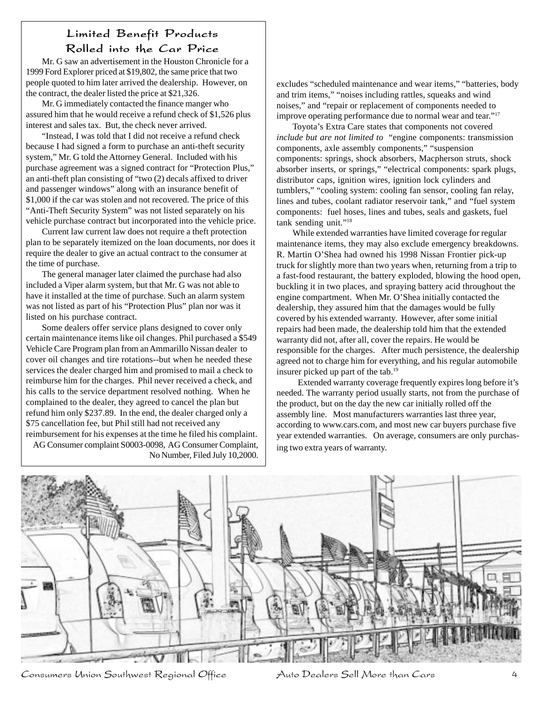## Limited Benefit Products Rolled into the Car Price

Mr. G saw an advertisement in the Houston Chronicle for a 1999 Ford Explorer priced at \$19,802, the same price that two people quoted to him later arrived the dealership. However, on the contract, the dealer listed the price at \$21,326.

Mr. G immediately contacted the finance manger who assured him that he would receive a refund check of \$1,526 plus interest and sales tax. But, the check never arrived.

"Instead, I was told that I did not receive a refund check because I had signed a form to purchase an anti-theft security system," Mr. G told the Attorney General. Included with his purchase agreement was a signed contract for "Protection Plus," an anti-theft plan consisting of "two (2) decals affixed to driver and passenger windows" along with an insurance benefit of \$1,000 if the car was stolen and not recovered. The price of this "Anti-Theft Security System" was not listed separately on his vehicle purchase contract but incorporated into the vehicle price.

Current law current law does not require a theft protection plan to be separately itemized on the loan documents, nor does it require the dealer to give an actual contract to the consumer at the time of purchase.

The general manager later claimed the purchase had also included a Viper alarm system, but that Mr. G was not able to have it installed at the time of purchase. Such an alarm system was not listed as part of his "Protection Plus" plan nor was it listed on his purchase contract.

Some dealers offer service plans designed to cover only certain maintenance items like oil changes. Phil purchased a \$549 Vehicle Care Program plan from an Ammarillo Nissan dealer to cover oil changes and tire rotations--but when he needed these services the dealer charged him and promised to mail a check to reimburse him for the charges. Phil never received a check, and his calls to the service department resolved nothing. When he complained to the dealer, they agreed to cancel the plan but refund him only \$237.89. In the end, the dealer charged only a \$75 cancellation fee, but Phil still had not received any reimbursement for his expenses at the time he filed his complaint.

AG Consumer complaint S0003-0098, AG Consumer Complaint, No Number, Filed July 10,2000.

excludes "scheduled maintenance and wear items," "batteries, body and trim items," "noises including rattles, squeaks and wind noises," and "repair or replacement of components needed to improve operating performance due to normal wear and tear."17

Toyota's Extra Care states that components not covered *include but are not limited to* "engine components: transmission components, axle assembly components," "suspension components: springs, shock absorbers, Macpherson struts, shock absorber inserts, or springs," "electrical components: spark plugs, distributor caps, ignition wires, ignition lock cylinders and tumblers," "cooling system: cooling fan sensor, cooling fan relay, lines and tubes, coolant radiator reservoir tank," and "fuel system components: fuel hoses, lines and tubes, seals and gaskets, fuel tank sending unit."18

While extended warranties have limited coverage for regular maintenance items, they may also exclude emergency breakdowns. R. Martin O'Shea had owned his 1998 Nissan Frontier pick-up truck for slightly more than two years when, returning from a trip to a fast-food restaurant, the battery exploded, blowing the hood open, buckling it in two places, and spraying battery acid throughout the engine compartment. When Mr. O'Shea initially contacted the dealership, they assured him that the damages would be fully covered by his extended warranty. However, after some initial repairs had been made, the dealership told him that the extended warranty did not, after all, cover the repairs. He would be responsible for the charges. After much persistence, the dealership agreed not to charge him for everything, and his regular automobile insurer picked up part of the tab.19

Extended warranty coverage frequently expires long before it's needed. The warranty period usually starts, not from the purchase of the product, but on the day the new car initially rolled off the assembly line. Most manufacturers warranties last three year, according to www.cars.com, and most new car buyers purchase five year extended warranties. On average, consumers are only purchasing two extra years of warranty.



Consumers Union Southwest Regional Office Auto Dealers Sell More than Cars 4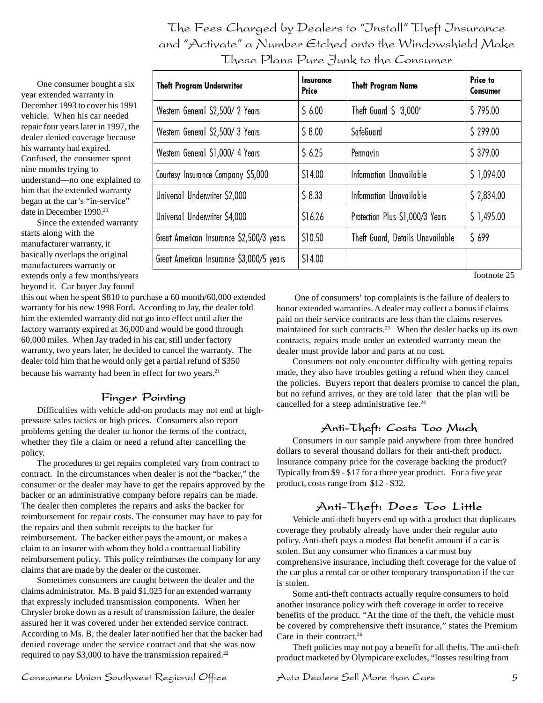The Fees Charged by Dealers to "Install" Theft Insurance and "Activate" a Number Etched onto the Windowshield Make These Plans Pure Junk to the Consumer

One consumer bought a six year extended warranty in December 1993 to cover his 1991 vehicle. When his car needed repair four years later in 1997, the dealer denied coverage because his warranty had expired. Confused, the consumer spent nine months trying to understand—no one explained to him that the extended warranty began at the car's "in-service" date in December 1990.<sup>20</sup>

Since the extended warranty starts along with the manufacturer warranty, it basically overlaps the original manufacturers warranty or extends only a few months/years beyond it. Car buyer Jay found

| <b>Theft Program Underwriter</b>         | Insurance<br>Price | <b>Theft Program Name</b>         | Price to<br>Consumer |
|------------------------------------------|--------------------|-----------------------------------|----------------------|
| Western General \$2,500/2 Years          | 56.00              | Theft Guard $\frac{1}{2}$ "3,000" | 5795.00              |
| Western General \$2,500/3 Years          | \$8.00             | SafeGuard                         | \$299.00             |
| Western General \$1,000/4 Years          | 56.25              | Permavin                          | \$379.00             |
| Courtesy Insurance Company \$5,000       | \$14.00            | Information Unavailable           | \$1,094.00           |
| Universal Underwriter \$2,000            | \$8.33             | Information Unavailable           | \$2,834.00           |
| Universal Underwriter \$4,000            | \$16.26            | Protection Plus \$1,000/3 Years   | \$1,495.00           |
| Great American Insurance \$2,500/3 years | \$10.50            | Theft Guard, Details Unavailable  | 5699                 |
| Great American Insurance \$3,000/5 years | \$14.00            |                                   |                      |

footnote 25

this out when he spent \$810 to purchase a 60 month/60,000 extended warranty for his new 1998 Ford. According to Jay, the dealer told him the extended warranty did not go into effect until after the factory warranty expired at 36,000 and would be good through 60,000 miles. When Jay traded in his car, still under factory warranty, two years later, he decided to cancel the warranty. The dealer told him that he would only get a partial refund of \$350 because his warranty had been in effect for two years.<sup>21</sup>

## Finger Pointing

Difficulties with vehicle add-on products may not end at highpressure sales tactics or high prices. Consumers also report problems getting the dealer to honor the terms of the contract, whether they file a claim or need a refund after cancelling the policy.

The procedures to get repairs completed vary from contract to contract. In the circumstances when dealer is not the "backer," the consumer or the dealer may have to get the repairs approved by the backer or an administrative company before repairs can be made. The dealer then completes the repairs and asks the backer for reimbursement for repair costs. The consumer may have to pay for the repairs and then submit receipts to the backer for reimbursement. The backer either pays the amount, or makes a claim to an insurer with whom they hold a contractual liability reimbursement policy. This policy reimburses the company for any claims that are made by the dealer or the customer.

Sometimes consumers are caught between the dealer and the claims administrator. Ms. B paid \$1,025 for an extended warranty that expressly included transmission components. When her Chrysler broke down as a result of transmission failure, the dealer assured her it was covered under her extended service contract. According to Ms. B, the dealer later notified her that the backer had denied coverage under the service contract and that she was now required to pay \$3,000 to have the transmission repaired.<sup>22</sup>

 One of consumers' top complaints is the failure of dealers to honor extended warranties. A dealer may collect a bonus if claims paid on their service contracts are less than the claims reserves maintained for such contracts.<sup>23</sup> When the dealer backs up its own contracts, repairs made under an extended warranty mean the dealer must provide labor and parts at no cost.

Consumers not only encounter difficulty with getting repairs made, they also have troubles getting a refund when they cancel the policies. Buyers report that dealers promise to cancel the plan, but no refund arrives, or they are told later that the plan will be cancelled for a steep administrative fee.<sup>24</sup>

## Anti-Theft: Costs Too Much

Consumers in our sample paid anywhere from three hundred dollars to several thousand dollars for their anti-theft product. Insurance company price for the coverage backing the product? Typically from \$9 - \$17 for a three year product. For a five year product, costs range from \$12 - \$32.

## Anti-Theft: Does Too Little

Vehicle anti-theft buyers end up with a product that duplicates coverage they probably already have under their regular auto policy. Anti-theft pays a modest flat benefit amount if a car is stolen. But any consumer who finances a car must buy comprehensive insurance, including theft coverage for the value of the car plus a rental car or other temporary transportation if the car is stolen.

Some anti-theft contracts actually require consumers to hold another insurance policy with theft coverage in order to receive benefits of the product. "At the time of the theft, the vehicle must be covered by comprehensive theft insurance," states the Premium Care in their contract.<sup>26</sup>

Theft policies may not pay a benefit for all thefts. The anti-theft product marketed by Olympicare excludes, "losses resulting from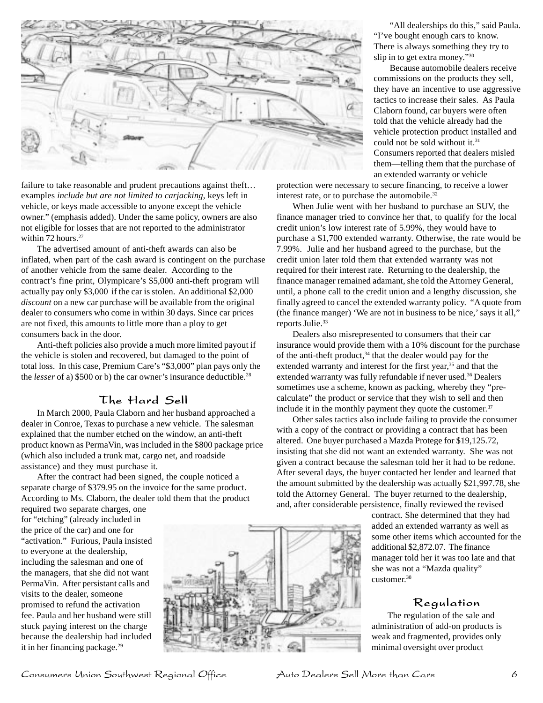

failure to take reasonable and prudent precautions against theft... examples *include but are not limited to carjacking*, keys left in vehicle, or keys made accessible to anyone except the vehicle owner." (emphasis added). Under the same policy, owners are also not eligible for losses that are not reported to the administrator within  $72$  hours.<sup>27</sup>

The advertised amount of anti-theft awards can also be inflated, when part of the cash award is contingent on the purchase of another vehicle from the same dealer. According to the contract's fine print, Olympicare's \$5,000 anti-theft program will actually pay only \$3,000 if the car is stolen. An additional \$2,000 *discount* on a new car purchase will be available from the original dealer to consumers who come in within 30 days. Since car prices are not fixed, this amounts to little more than a ploy to get consumers back in the door.

Anti-theft policies also provide a much more limited payout if the vehicle is stolen and recovered, but damaged to the point of total loss. In this case, Premium Care's "\$3,000" plan pays only the the *lesser* of a) \$500 or b) the car owner's insurance deductible.<sup>28</sup>

## The Hard Sell

In March 2000, Paula Claborn and her husband approached a dealer in Conroe, Texas to purchase a new vehicle. The salesman explained that the number etched on the window, an anti-theft product known as PermaVin, was included in the \$800 package price (which also included a trunk mat, cargo net, and roadside assistance) and they must purchase it.

After the contract had been signed, the couple noticed a separate charge of \$379.95 on the invoice for the same product. According to Ms. Claborn, the dealer told them that the product

required two separate charges, one for "etching" (already included in the price of the car) and one for "activation." Furious, Paula insisted to everyone at the dealership, including the salesman and one of the managers, that she did not want PermaVin. After persistant calls and visits to the dealer, someone promised to refund the activation fee. Paula and her husband were still stuck paying interest on the charge because the dealership had included it in her financing package.<sup>29</sup>



"All dealerships do this," said Paula. "I've bought enough cars to know. There is always something they try to slip in to get extra money."30

Because automobile dealers receive commissions on the products they sell, they have an incentive to use aggressive tactics to increase their sales. As Paula Claborn found, car buyers were often told that the vehicle already had the vehicle protection product installed and could not be sold without it.<sup>31</sup> Consumers reported that dealers misled them—telling them that the purchase of an extended warranty or vehicle

protection were necessary to secure financing, to receive a lower interest rate, or to purchase the automobile.<sup>32</sup>

When Julie went with her husband to purchase an SUV, the finance manager tried to convince her that, to qualify for the local credit union's low interest rate of 5.99%, they would have to purchase a \$1,700 extended warranty. Otherwise, the rate would be 7.99%. Julie and her husband agreed to the purchase, but the credit union later told them that extended warranty was not required for their interest rate. Returning to the dealership, the finance manager remained adamant, she told the Attorney General, until, a phone call to the credit union and a lengthy discussion, she finally agreed to cancel the extended warranty policy. "A quote from (the finance manger) 'We are not in business to be nice,' says it all," reports Julie.<sup>33</sup>

Dealers also misrepresented to consumers that their car insurance would provide them with a 10% discount for the purchase of the anti-theft product, $34$  that the dealer would pay for the extended warranty and interest for the first year,<sup>35</sup> and that the extended warranty was fully refundable if never used.<sup>36</sup> Dealers sometimes use a scheme, known as packing, whereby they "precalculate" the product or service that they wish to sell and then include it in the monthly payment they quote the customer. $37$ 

Other sales tactics also include failing to provide the consumer with a copy of the contract or providing a contract that has been altered. One buyer purchased a Mazda Protege for \$19,125.72, insisting that she did not want an extended warranty. She was not given a contract because the salesman told her it had to be redone. After several days, the buyer contacted her lender and learned that the amount submitted by the dealership was actually \$21,997.78, she told the Attorney General. The buyer returned to the dealership, and, after considerable persistence, finally reviewed the revised

> contract. She determined that they had added an extended warranty as well as some other items which accounted for the additional \$2,872.07. The finance manager told her it was too late and that she was not a "Mazda quality" customer.38

#### Regulation

The regulation of the sale and administration of add-on products is weak and fragmented, provides only minimal oversight over product

Consumers Union Southwest Regional Office Auto Dealers Sell More than Cars 6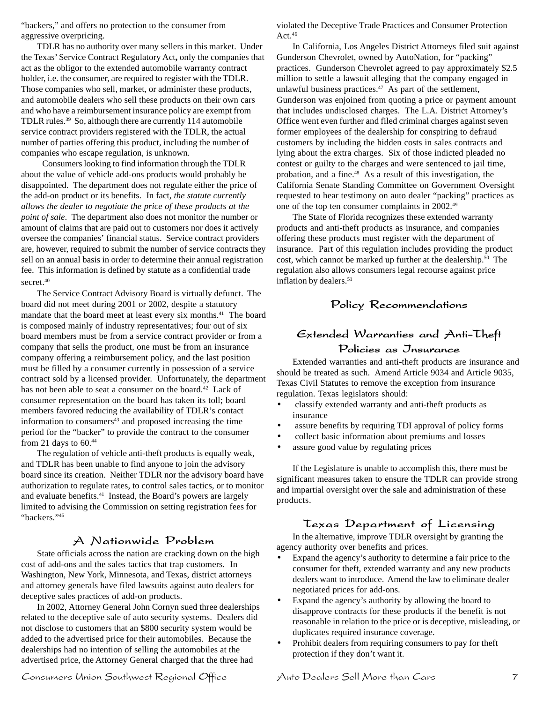"backers," and offers no protection to the consumer from aggressive overpricing.

TDLR has no authority over many sellers in this market. Under the Texas' Service Contract Regulatory Act**,** only the companies that act as the obligor to the extended automobile warranty contract holder, i.e. the consumer, are required to register with the TDLR. Those companies who sell, market, or administer these products, and automobile dealers who sell these products on their own cars and who have a reimbursement insurance policy are exempt from TDLR rules.39 So, although there are currently 114 automobile service contract providers registered with the TDLR, the actual number of parties offering this product, including the number of companies who escape regulation, is unknown.

Consumers looking to find information through the TDLR about the value of vehicle add-ons products would probably be disappointed. The department does not regulate either the price of the add-on product or its benefits. In fact, *the statute currently allows the dealer to negotiate the price of these products at the point of sale*. The department also does not monitor the number or amount of claims that are paid out to customers nor does it actively oversee the companies' financial status. Service contract providers are, however, required to submit the number of service contracts they sell on an annual basis in order to determine their annual registration fee. This information is defined by statute as a confidential trade secret.<sup>40</sup>

The Service Contract Advisory Board is virtually defunct. The board did not meet during 2001 or 2002, despite a statutory mandate that the board meet at least every six months.<sup>41</sup> The board is composed mainly of industry representatives; four out of six board members must be from a service contract provider or from a company that sells the product, one must be from an insurance company offering a reimbursement policy, and the last position must be filled by a consumer currently in possession of a service contract sold by a licensed provider. Unfortunately, the department has not been able to seat a consumer on the board.<sup>42</sup> Lack of consumer representation on the board has taken its toll; board members favored reducing the availability of TDLR's contact information to consumers<sup>43</sup> and proposed increasing the time period for the "backer" to provide the contract to the consumer from 21 days to  $60.^{44}$ 

The regulation of vehicle anti-theft products is equally weak, and TDLR has been unable to find anyone to join the advisory board since its creation. Neither TDLR nor the advisory board have authorization to regulate rates, to control sales tactics, or to monitor and evaluate benefits.<sup>41</sup> Instead, the Board's powers are largely limited to advising the Commission on setting registration fees for "backers."45

#### A Nationwide Problem

State officials across the nation are cracking down on the high cost of add-ons and the sales tactics that trap customers. In Washington, New York, Minnesota, and Texas, district attorneys and attorney generals have filed lawsuits against auto dealers for deceptive sales practices of add-on products.

In 2002, Attorney General John Cornyn sued three dealerships related to the deceptive sale of auto security systems. Dealers did not disclose to customers that an \$800 security system would be added to the advertised price for their automobiles. Because the dealerships had no intention of selling the automobiles at the advertised price, the Attorney General charged that the three had

violated the Deceptive Trade Practices and Consumer Protection Act. $46$ 

In California, Los Angeles District Attorneys filed suit against Gunderson Chevrolet, owned by AutoNation, for "packing" practices. Gunderson Chevrolet agreed to pay approximately \$2.5 million to settle a lawsuit alleging that the company engaged in unlawful business practices. $47$  As part of the settlement, Gunderson was enjoined from quoting a price or payment amount that includes undisclosed charges. The L.A. District Attorney's Office went even further and filed criminal charges against seven former employees of the dealership for conspiring to defraud customers by including the hidden costs in sales contracts and lying about the extra charges. Six of those indicted pleaded no contest or guilty to the charges and were sentenced to jail time, probation, and a fine.<sup>48</sup> As a result of this investigation, the California Senate Standing Committee on Government Oversight requested to hear testimony on auto dealer "packing" practices as one of the top ten consumer complaints in 2002.49

The State of Florida recognizes these extended warranty products and anti-theft products as insurance, and companies offering these products must register with the department of insurance. Part of this regulation includes providing the product cost, which cannot be marked up further at the dealership.<sup>50</sup> The regulation also allows consumers legal recourse against price inflation by dealers.<sup>51</sup>

## Policy Recommendations

## Extended Warranties and Anti-Theft

#### Policies as Insurance

Extended warranties and anti-theft products are insurance and should be treated as such. Amend Article 9034 and Article 9035, Texas Civil Statutes to remove the exception from insurance regulation. Texas legislators should:

- classify extended warranty and anti-theft products as insurance
- assure benefits by requiring TDI approval of policy forms
- collect basic information about premiums and losses
- assure good value by regulating prices

If the Legislature is unable to accomplish this, there must be significant measures taken to ensure the TDLR can provide strong and impartial oversight over the sale and administration of these products.

#### Texas Department of Licensing

In the alternative, improve TDLR oversight by granting the agency authority over benefits and prices.

- Expand the agency's authority to determine a fair price to the consumer for theft, extended warranty and any new products dealers want to introduce. Amend the law to eliminate dealer negotiated prices for add-ons.
- Expand the agency's authority by allowing the board to disapprove contracts for these products if the benefit is not reasonable in relation to the price or is deceptive, misleading, or duplicates required insurance coverage.
- Prohibit dealers from requiring consumers to pay for theft protection if they don't want it.

Consumers Union Southwest Regional Office Auto Dealers Sell More than Cars 7